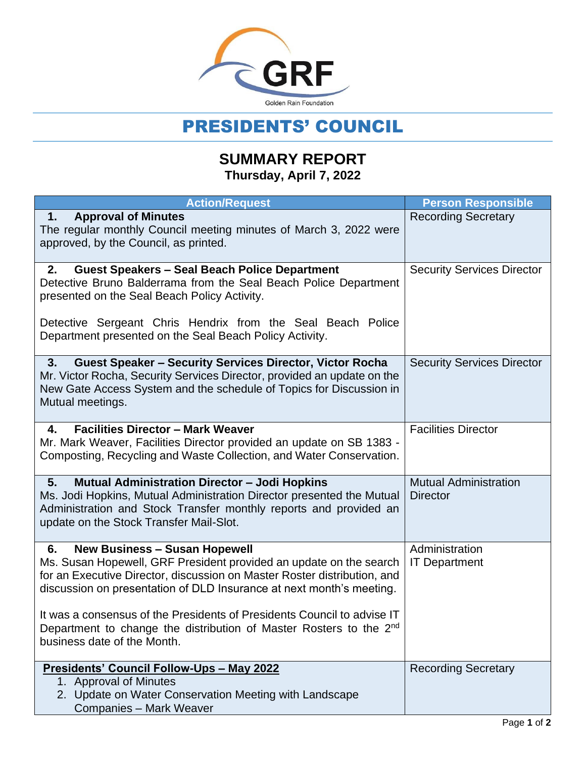

## PRESIDENTS' COUNCIL

## **SUMMARY REPORT Thursday, April 7, 2022**

| <b>Action/Request</b>                                                                                                                                                                                                                                                                                                                                                                                                 | <b>Person Responsible</b>                       |
|-----------------------------------------------------------------------------------------------------------------------------------------------------------------------------------------------------------------------------------------------------------------------------------------------------------------------------------------------------------------------------------------------------------------------|-------------------------------------------------|
| <b>Approval of Minutes</b><br>1.<br>The regular monthly Council meeting minutes of March 3, 2022 were<br>approved, by the Council, as printed.                                                                                                                                                                                                                                                                        | <b>Recording Secretary</b>                      |
| <b>Guest Speakers - Seal Beach Police Department</b><br>2.<br>Detective Bruno Balderrama from the Seal Beach Police Department<br>presented on the Seal Beach Policy Activity.                                                                                                                                                                                                                                        | <b>Security Services Director</b>               |
| Detective Sergeant Chris Hendrix from the Seal Beach Police<br>Department presented on the Seal Beach Policy Activity.                                                                                                                                                                                                                                                                                                |                                                 |
| <b>Guest Speaker - Security Services Director, Victor Rocha</b><br>3.<br>Mr. Victor Rocha, Security Services Director, provided an update on the<br>New Gate Access System and the schedule of Topics for Discussion in<br>Mutual meetings.                                                                                                                                                                           | <b>Security Services Director</b>               |
| <b>Facilities Director - Mark Weaver</b><br>4.<br>Mr. Mark Weaver, Facilities Director provided an update on SB 1383 -<br>Composting, Recycling and Waste Collection, and Water Conservation.                                                                                                                                                                                                                         | <b>Facilities Director</b>                      |
| <b>Mutual Administration Director - Jodi Hopkins</b><br>5.<br>Ms. Jodi Hopkins, Mutual Administration Director presented the Mutual<br>Administration and Stock Transfer monthly reports and provided an<br>update on the Stock Transfer Mail-Slot.                                                                                                                                                                   | <b>Mutual Administration</b><br><b>Director</b> |
| <b>New Business - Susan Hopewell</b><br>6.<br>Ms. Susan Hopewell, GRF President provided an update on the search<br>for an Executive Director, discussion on Master Roster distribution, and<br>discussion on presentation of DLD Insurance at next month's meeting.<br>It was a consensus of the Presidents of Presidents Council to advise IT<br>Department to change the distribution of Master Rosters to the 2nd | Administration<br><b>IT Department</b>          |
| business date of the Month.<br>Presidents' Council Follow-Ups - May 2022                                                                                                                                                                                                                                                                                                                                              | <b>Recording Secretary</b>                      |
| 1. Approval of Minutes<br>2. Update on Water Conservation Meeting with Landscape<br><b>Companies - Mark Weaver</b>                                                                                                                                                                                                                                                                                                    |                                                 |